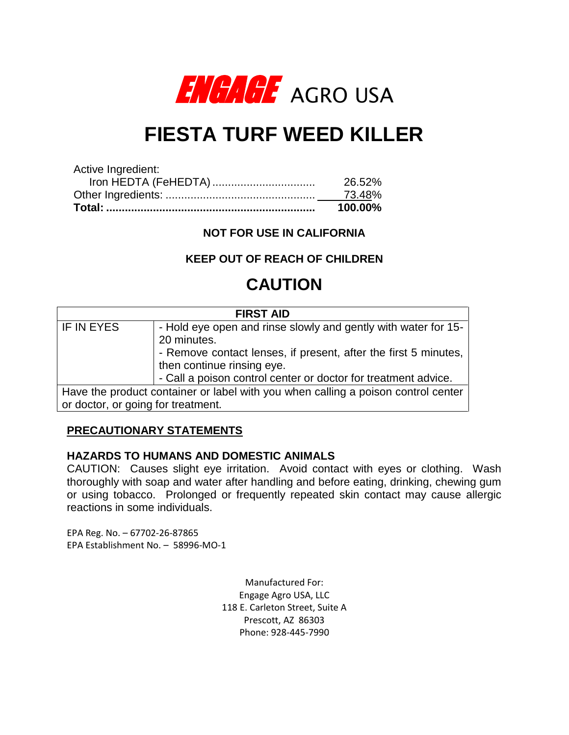

# **FIESTA TURF WEED KILLER**

|                      | 100.00% |
|----------------------|---------|
|                      | 73.48%  |
| Iron HEDTA (FeHEDTA) | 26.52%  |
| Active Ingredient:   |         |

**NOT FOR USE IN CALIFORNIA**

# **KEEP OUT OF REACH OF CHILDREN**

# **CAUTION**

| <b>FIRST AID</b>                                                                  |                                                                 |  |  |  |
|-----------------------------------------------------------------------------------|-----------------------------------------------------------------|--|--|--|
| IF IN EYES                                                                        | - Hold eye open and rinse slowly and gently with water for 15-  |  |  |  |
|                                                                                   | 20 minutes.                                                     |  |  |  |
|                                                                                   | - Remove contact lenses, if present, after the first 5 minutes, |  |  |  |
|                                                                                   | then continue rinsing eye.                                      |  |  |  |
|                                                                                   | - Call a poison control center or doctor for treatment advice.  |  |  |  |
| Have the product container or label with you when calling a poison control center |                                                                 |  |  |  |
| or doctor, or going for treatment.                                                |                                                                 |  |  |  |

# **PRECAUTIONARY STATEMENTS**

#### **HAZARDS TO HUMANS AND DOMESTIC ANIMALS**

CAUTION: Causes slight eye irritation. Avoid contact with eyes or clothing. Wash thoroughly with soap and water after handling and before eating, drinking, chewing gum or using tobacco. Prolonged or frequently repeated skin contact may cause allergic reactions in some individuals.

EPA Reg. No. – 67702-26-87865 EPA Establishment No. – 58996-MO-1

> Manufactured For: Engage Agro USA, LLC 118 E. Carleton Street, Suite A Prescott, AZ 86303 Phone: 928-445-7990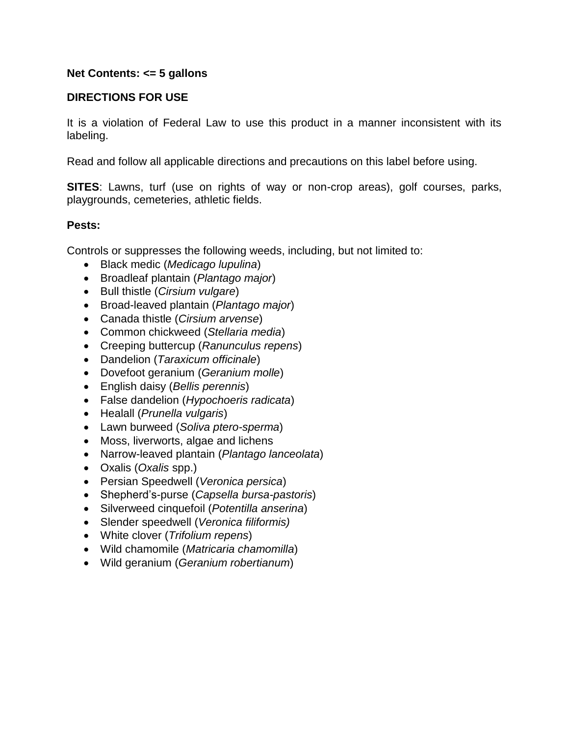#### **Net Contents: <= 5 gallons**

## **DIRECTIONS FOR USE**

It is a violation of Federal Law to use this product in a manner inconsistent with its labeling.

Read and follow all applicable directions and precautions on this label before using.

**SITES**: Lawns, turf (use on rights of way or non-crop areas), golf courses, parks, playgrounds, cemeteries, athletic fields.

#### **Pests:**

Controls or suppresses the following weeds, including, but not limited to:

- Black medic (*Medicago lupulina*)
- Broadleaf plantain (*Plantago major*)
- Bull thistle (*Cirsium vulgare*)
- Broad-leaved plantain (*Plantago major*)
- Canada thistle (*Cirsium arvense*)
- Common chickweed (*Stellaria media*)
- Creeping buttercup (*Ranunculus repens*)
- Dandelion (*Taraxicum officinale*)
- Dovefoot geranium (*Geranium molle*)
- English daisy (*Bellis perennis*)
- False dandelion (*Hypochoeris radicata*)
- Healall (*Prunella vulgaris*)
- Lawn burweed (*Soliva ptero-sperma*)
- Moss, liverworts, algae and lichens
- Narrow-leaved plantain (*Plantago lanceolata*)
- Oxalis (*Oxalis* spp.)
- Persian Speedwell (*Veronica persica*)
- Shepherd's-purse (*Capsella bursa-pastoris*)
- Silverweed cinquefoil (*Potentilla anserina*)
- Slender speedwell (*Veronica filiformis)*
- White clover (*Trifolium repens*)
- Wild chamomile (*Matricaria chamomilla*)
- Wild geranium (*Geranium robertianum*)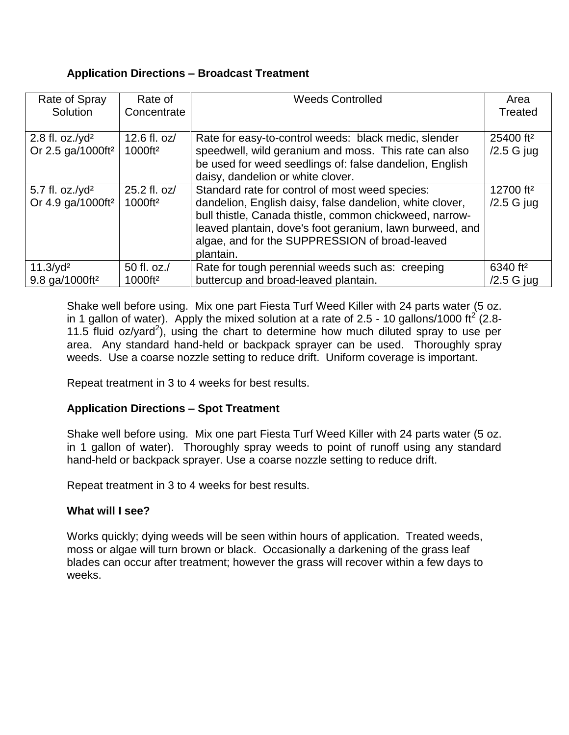## **Application Directions – Broadcast Treatment**

| Rate of Spray                                        | Rate of                             | <b>Weeds Controlled</b>                                                                                                                                                                                                                                                                           | Area                                  |
|------------------------------------------------------|-------------------------------------|---------------------------------------------------------------------------------------------------------------------------------------------------------------------------------------------------------------------------------------------------------------------------------------------------|---------------------------------------|
| Solution                                             | Concentrate                         |                                                                                                                                                                                                                                                                                                   | Treated                               |
| 2.8 fl. oz./ $yd^2$<br>Or 2.5 ga/1000ft <sup>2</sup> | 12.6 fl. oz/<br>1000ft <sup>2</sup> | Rate for easy-to-control weeds: black medic, slender<br>speedwell, wild geranium and moss. This rate can also<br>be used for weed seedlings of: false dandelion, English<br>daisy, dandelion or white clover.                                                                                     | 25400 ft <sup>2</sup><br>$/2.5$ G jug |
| 5.7 fl. oz./ $yd^2$<br>Or 4.9 ga/1000ft <sup>2</sup> | 25.2 fl. oz/<br>1000ft <sup>2</sup> | Standard rate for control of most weed species:<br>dandelion, English daisy, false dandelion, white clover,<br>bull thistle, Canada thistle, common chickweed, narrow-<br>leaved plantain, dove's foot geranium, lawn burweed, and<br>algae, and for the SUPPRESSION of broad-leaved<br>plantain. | 12700 ft <sup>2</sup><br>$/2.5$ G jug |
| $11.3$ /yd <sup>2</sup>                              | 50 fl. oz./                         | Rate for tough perennial weeds such as: creeping                                                                                                                                                                                                                                                  | 6340 ft <sup>2</sup>                  |
| 9.8 ga/1000ft <sup>2</sup>                           | 1000ft <sup>2</sup>                 | buttercup and broad-leaved plantain.                                                                                                                                                                                                                                                              | $/2.5$ G jug                          |

Shake well before using. Mix one part Fiesta Turf Weed Killer with 24 parts water (5 oz. in 1 gallon of water). Apply the mixed solution at a rate of 2.5 - 10 gallons/1000 ft<sup>2</sup> (2.8-11.5 fluid  $oz/yard^2$ ), using the chart to determine how much diluted spray to use per area. Any standard hand-held or backpack sprayer can be used. Thoroughly spray weeds. Use a coarse nozzle setting to reduce drift. Uniform coverage is important.

Repeat treatment in 3 to 4 weeks for best results.

# **Application Directions – Spot Treatment**

Shake well before using. Mix one part Fiesta Turf Weed Killer with 24 parts water (5 oz. in 1 gallon of water). Thoroughly spray weeds to point of runoff using any standard hand-held or backpack sprayer. Use a coarse nozzle setting to reduce drift.

Repeat treatment in 3 to 4 weeks for best results.

# **What will I see?**

Works quickly; dying weeds will be seen within hours of application. Treated weeds, moss or algae will turn brown or black.Occasionally a darkening of the grass leaf blades can occur after treatment; however the grass will recover within a few days to weeks.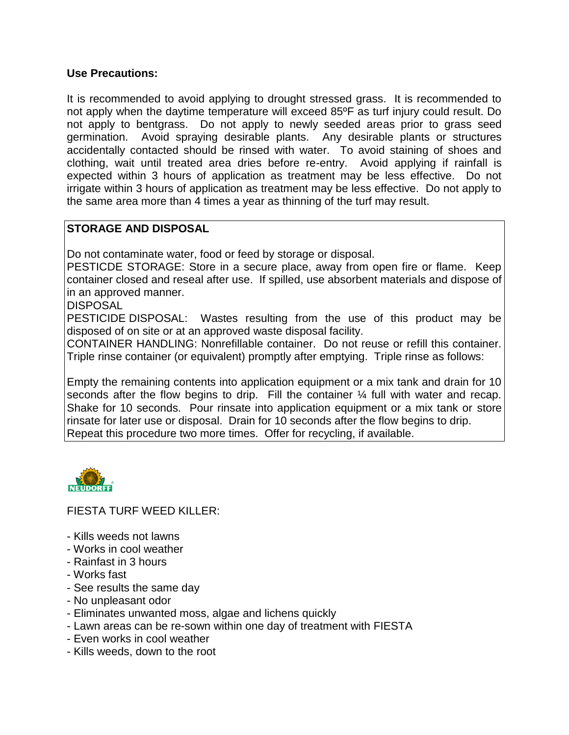#### **Use Precautions:**

It is recommended to avoid applying to drought stressed grass. It is recommended to not apply when the daytime temperature will exceed 85ºF as turf injury could result. Do not apply to bentgrass. Do not apply to newly seeded areas prior to grass seed germination. Avoid spraying desirable plants. Any desirable plants or structures accidentally contacted should be rinsed with water. To avoid staining of shoes and clothing, wait until treated area dries before re-entry. Avoid applying if rainfall is expected within 3 hours of application as treatment may be less effective. Do not irrigate within 3 hours of application as treatment may be less effective. Do not apply to the same area more than 4 times a year as thinning of the turf may result.

# **STORAGE AND DISPOSAL**

Do not contaminate water, food or feed by storage or disposal.

PESTICDE STORAGE: Store in a secure place, away from open fire or flame. Keep container closed and reseal after use. If spilled, use absorbent materials and dispose of in an approved manner.

**DISPOSAL** 

PESTICIDE DISPOSAL: Wastes resulting from the use of this product may be disposed of on site or at an approved waste disposal facility.

CONTAINER HANDLING: Nonrefillable container. Do not reuse or refill this container. Triple rinse container (or equivalent) promptly after emptying. Triple rinse as follows:

Empty the remaining contents into application equipment or a mix tank and drain for 10 seconds after the flow begins to drip. Fill the container  $\frac{1}{4}$  full with water and recap. Shake for 10 seconds. Pour rinsate into application equipment or a mix tank or store rinsate for later use or disposal. Drain for 10 seconds after the flow begins to drip. Repeat this procedure two more times. Offer for recycling, if available.



FIESTA TURF WEED KILLER:

- Kills weeds not lawns
- Works in cool weather
- Rainfast in 3 hours
- Works fast
- See results the same day
- No unpleasant odor
- Eliminates unwanted moss, algae and lichens quickly
- Lawn areas can be re-sown within one day of treatment with FIESTA
- Even works in cool weather
- Kills weeds, down to the root